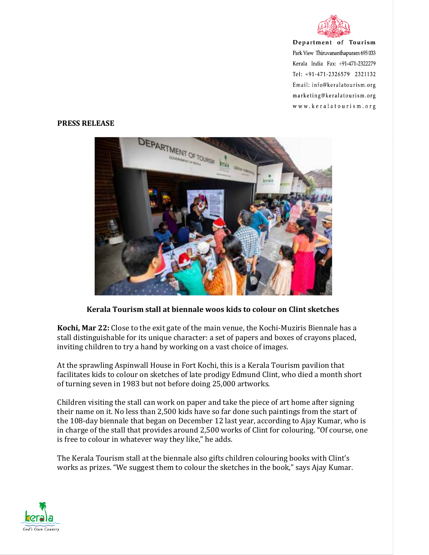

Department of Tourism Park View Thiruvananthapuram 695 033 Kerala India Fax: +91-471-2322279 Tel: +91-471-2326579 2321132 Email: info@keralatourism.org marketing@keralatourism.org www.keralatourism.org

## **PRESS RELEASE**



## **Kerala Tourism stall at biennale woos kids to colour on Clint sketches**

**Kochi, Mar 22:** Close to the exit gate of the main venue, the Kochi-Muziris Biennale has a stall distinguishable for its unique character: a set of papers and boxes of crayons placed, inviting children to try a hand by working on a vast choice of images.

At the sprawling Aspinwall House in Fort Kochi, this is a Kerala Tourism pavilion that facilitates kids to colour on sketches of late prodigy Edmund Clint, who died a month short of turning seven in 1983 but not before doing 25,000 artworks.

Children visiting the stall can work on paper and take the piece of art home after signing their name on it. No less than 2,500 kids have so far done such paintings from the start of the 108-day biennale that began on December 12 last year, according to Ajay Kumar, who is in charge of the stall that provides around 2,500 works of Clint for colouring. "Of course, one is free to colour in whatever way they like," he adds.

The Kerala Tourism stall at the biennale also gifts children colouring books with Clint's works as prizes. "We suggest them to colour the sketches in the book," says Ajay Kumar.